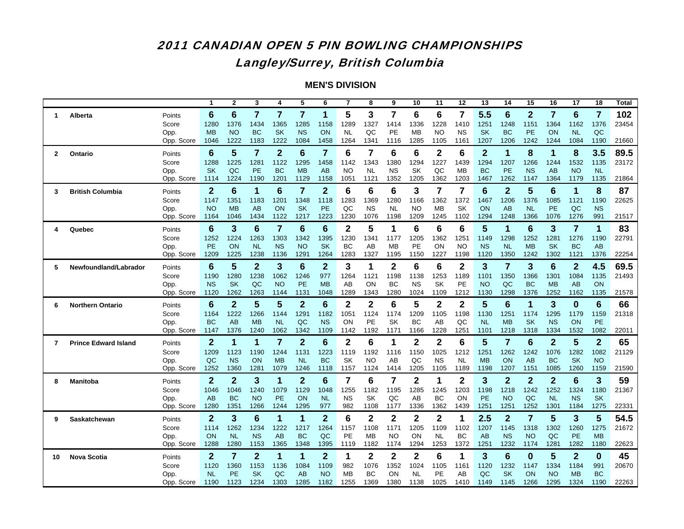### 2011 CANADIAN OPEN 5 PIN BOWLING CHAMPIONSHIPS Langley/Surrey, British Columbia

|              |                             |                    |                   | $\mathbf 2$       | 3                 | 4                 | 5                 | 6                 | $\overline{7}$    | 8            | 9                 | 10                | 11         | 12                | 13                | 14                | 15                | 16                | 17                | 18                      | Total |
|--------------|-----------------------------|--------------------|-------------------|-------------------|-------------------|-------------------|-------------------|-------------------|-------------------|--------------|-------------------|-------------------|------------|-------------------|-------------------|-------------------|-------------------|-------------------|-------------------|-------------------------|-------|
| 1.           | Alberta                     | Points             | 6                 | 6                 | 7                 | 7                 | $\overline{7}$    | 1                 | 5                 | 3            | 7                 | 6                 | 6          | 7                 | 5.5               | 6                 | $\mathbf{2}$      | $\overline{7}$    | 6                 | $\overline{\mathbf{r}}$ | 102   |
|              |                             | Score              | 1280              | 1376              | 1434              | 1365              | 1285              | 1158              | 1289              | 1327         | 1414              | 1336              | 1228       | 1410              | 1251              | 1248              | 1151              | 1364              | 1162              | 1376                    | 23454 |
|              |                             | Opp.               | <b>MB</b>         | <b>NO</b>         | <b>BC</b>         | <b>SK</b>         | <b>NS</b>         | ON                | <b>NL</b>         | QC           | PE                | MB                | <b>NO</b>  | <b>NS</b>         | <b>SK</b>         | <b>BC</b>         | PE                | ON                | <b>NL</b>         | QC                      |       |
|              |                             | Opp. Score         | 1046              | 1222              | 1183              | 1222              | 1084              | 1458              | 1264              | 1341         | 1116              | 1285              | 1105       | 1161              | 1207              | 1206              | 1242              | 1244              | 1084              | 1190                    | 21660 |
| $\mathbf{2}$ | Ontario                     | Points             | 6                 | 5                 | 7                 | $\overline{2}$    | $6\phantom{1}6$   | $\overline{7}$    | 6                 | 7            | 6                 | 6                 | 2          | 6                 | $\overline{2}$    | 1                 | 8                 | 1                 | 8                 | 3.5                     | 89.5  |
|              |                             | Score              | 1288              | 1225              | 1281              | 1122              | 1295              | 1458              | 1142              | 1343         | 1380              | 1294              | 1227       | 1439              | 1294              | 1207              | 1266              | 1244              | 1532              | 1135                    | 23172 |
|              |                             | Opp.               | <b>SK</b>         | QC                | PE                | <b>BC</b>         | <b>MB</b>         | AB                | <b>NO</b>         | <b>NL</b>    | <b>NS</b>         | SK                | QC         | <b>MB</b>         | <b>BC</b>         | <b>PE</b>         | <b>NS</b>         | AB                | <b>NO</b>         | <b>NL</b>               |       |
|              |                             | Opp. Score         | 1114              | 1224              | 1190              | 1201              | 1129              | 1158              | 1051              | 1121         | 1352              | 1205              | 1362       | 1203              | 1467              | 1262              | 1147              | 1364              | 1179              | 1135                    | 21864 |
| 3            | <b>British Columbia</b>     | Points             | $\mathbf{2}$      | 6                 | 1                 | 6                 | $\overline{7}$    | $\overline{2}$    | 6                 | 6            | 6                 | 3                 | 7          | 7                 | $6\phantom{1}6$   | $\overline{2}$    | 5                 | $6\phantom{1}6$   | 1                 | 8                       | 87    |
|              |                             | Score              | 1147              | 1351              | 1183              | 1201              | 1348              | 1118              | 1283              | 1369         | 1280              | 1166              | 1362       | 1372              | 1467              | 1206              | 1376              | 1085              | 1121              | 1190                    | 22625 |
|              |                             | Opp.               | <b>NO</b>         | <b>MB</b>         | AB                | ON                | <b>SK</b>         | PE                | QC                | <b>NS</b>    | <b>NL</b>         | <b>NO</b>         | MB         | SK                | ON                | AB                | <b>NL</b>         | PE                | QC                | <b>NS</b>               |       |
|              |                             | Opp. Score         | 1164              | 1046              | 1434              | 1122              | 1217              | 1223              | 1230              | 1076         | 1198              | 1209              | 1245       | 1102              | 1294              | 1248              | 1366              | 1076              | 1276              | 991                     | 21517 |
| 4            | Quebec                      | Points             | 6                 | 3                 | 6                 | 7                 | 6                 | $6\phantom{1}6$   | $\mathbf{2}$      | 5            | 1                 | 6                 | 6          | 6                 | 5                 | 1                 | $6\phantom{1}6$   | 3                 | 7                 | 1                       | 83    |
|              |                             | Score              | 1252              | 1224              | 1263              | 1303              | 1342              | 1395              | 1230              | 1341         | 1177              | 1205              | 1362       | 1251              | 1149              | 1298              | 1252              | 1281              | 1276              | 1190                    | 22791 |
|              |                             | Opp.<br>Opp. Score | <b>PE</b><br>1209 | ON<br>1225        | <b>NL</b><br>1238 | <b>NS</b><br>1136 | <b>NO</b><br>1291 | <b>SK</b><br>1264 | BC<br>1283        | AB<br>1327   | <b>MB</b><br>1195 | PE<br>1150        | ON<br>1227 | <b>NO</b><br>1198 | <b>NS</b><br>1120 | <b>NL</b><br>1350 | <b>MB</b><br>1242 | <b>SK</b><br>1302 | <b>BC</b><br>1121 | AB<br>1376              | 22254 |
|              |                             |                    |                   |                   |                   |                   |                   |                   |                   |              |                   |                   |            |                   |                   |                   |                   |                   |                   |                         |       |
| 5            | Newfoundland/Labrador       | Points             | 6                 | 5                 | $\overline{2}$    | 3                 | $6\phantom{1}6$   | $\overline{2}$    | 3                 | 1            | $\overline{2}$    | 6                 | 6          | $\overline{2}$    | 3                 | $\overline{7}$    | 3                 | $6\phantom{1}$    | $\overline{2}$    | 4.5                     | 69.5  |
|              |                             | Score<br>Opp.      | 1190<br><b>NS</b> | 1280<br><b>SK</b> | 1238<br>QC        | 1062<br><b>NO</b> | 1246<br><b>PE</b> | 977<br><b>MB</b>  | 1264<br>AB        | 1121<br>ON   | 1198<br>ВC        | 1138<br>ΝS        | 1253<br>SK | 1189<br>PE        | 1101<br><b>NO</b> | 1350<br>QC        | 1366<br><b>BC</b> | 1301<br><b>MB</b> | 1084<br>AB        | 1135<br>ON              | 21493 |
|              |                             | Opp. Score         | 1120              | 1262              | 1263              | 1144              | 1131              | 1048              | 1289              | 1343         | 1280              | 1024              | 1109       | 1212              | 1130              | 1298              | 1376              | 1252              | 1162              | 1135                    | 21578 |
| 6            | <b>Northern Ontario</b>     | Points             | 6                 | $\overline{2}$    | 5                 | 5                 | $\overline{2}$    | $6\phantom{1}6$   | $\mathbf 2$       | $\mathbf{2}$ | 6                 | 5                 | 2          | $\mathbf{2}$      | 5                 | 6                 | 1                 | 3                 | $\bf{0}$          | $6\phantom{1}6$         | 66    |
|              |                             | Score              | 1164              | 1222              | 1266              | 1144              | 1291              | 1182              | 1051              | 1124         | 1174              | 1209              | 1105       | 1198              | 1130              | 1251              | 1174              | 1295              | 1179              | 1159                    | 21318 |
|              |                             | Opp.               | <b>BC</b>         | AB                | <b>MB</b>         | <b>NL</b>         | QC                | <b>NS</b>         | ON                | PE           | SK                | BC                | AB         | QC                | <b>NL</b>         | <b>MB</b>         | <b>SK</b>         | <b>NS</b>         | ON                | PE                      |       |
|              |                             | Opp. Score         | 1147              | 1376              | 1240              | 1062              | 1342              | 1109              | 1142              | 1192         | 1171              | 1166              | 1228       | 1251              | 1101              | 1218              | 1318              | 1334              | 1532              | 1082                    | 22011 |
| 7            | <b>Prince Edward Island</b> | Points             | $\mathbf{2}$      | 1                 | 1                 | $\overline{7}$    | $\overline{2}$    | $6\phantom{1}6$   | $\mathbf 2$       | 6            | 1                 | $\mathbf{2}$      | 2          | 6                 | 5                 | $\overline{7}$    | $6\phantom{1}6$   | $\overline{2}$    | 5                 | $\overline{2}$          | 65    |
|              |                             | Score              | 1209              | 1123              | 1190              | 1244              | 1131              | 1223              | 1119              | 1192         | 1116              | 1150              | 1025       | 1212              | 1251              | 1262              | 1242              | 1076              | 1282              | 1082                    | 21129 |
|              |                             | Opp.               | QC                | <b>NS</b>         | <b>ON</b>         | <b>MB</b>         | <b>NL</b>         | <b>BC</b>         | SK                | NO           | AB                | QC                | <b>NS</b>  | <b>NL</b>         | <b>MB</b>         | ON                | AB                | <b>BC</b>         | <b>SK</b>         | <b>NO</b>               |       |
|              |                             | Opp. Score         | 1252              | 1360              | 1281              | 1079              | 1246              | 1118              | 1157              | 1124         | 1414              | 1205              | 1105       | 1189              | 1198              | 1207              | 1151              | 1085              | 1260              | 1159                    | 21590 |
| 8            | Manitoba                    | Points             | 2                 | $\mathbf{2}$      | 3                 | 1                 | $\mathbf{2}$      | 6                 | 7                 | 6            | 7                 | 2                 | 1          | 2                 | 3                 | $\overline{2}$    | $\mathbf{2}$      | $\mathbf{2}$      | 6                 | 3                       | 59    |
|              |                             | Score              | 1046              | 1046              | 1240              | 1079              | 1129              | 1048              | 1255              | 1182         | 1195              | 1285              | 1245       | 1203              | 1198              | 1218              | 1242              | 1252              | 1324              | 1180                    | 21367 |
|              |                             | Opp.               | AB                | <b>BC</b>         | <b>NO</b>         | <b>PE</b>         | <b>ON</b>         | <b>NL</b>         | <b>NS</b>         | SK           | QC                | AB                | BC         | ON                | <b>PE</b>         | <b>NO</b>         | QC                | <b>NL</b>         | <b>NS</b>         | <b>SK</b>               |       |
|              |                             |                    |                   |                   |                   |                   |                   |                   |                   | 1108         | 1177              | 1336              | 1362       | 1439              | 1251              |                   |                   |                   | 1184              | 1275                    | 22331 |
| 9            |                             | Opp. Score         | 1280              | 1351              | 1266              | 1244              | 1295              | 977               | 982               |              |                   |                   |            |                   |                   | 1251              | 1252              | 1301              |                   |                         |       |
|              | Saskatchewan                | Points             | $\mathbf{2}$      | 3                 | 6                 | 1                 | 1                 | $\overline{2}$    | 6                 | 2            | 2                 | 2                 | 2          |                   | 2.5               | $\overline{2}$    | 7                 | 5                 | 3                 | 5                       | 54.5  |
|              |                             | Score              | 1114              | 1262              | 1234              | 1222              | 1217              | 1264              | 1157              | 1108         | 117'              | 1205              | 1109       | 1102              | 1207              | 1145              | 1318              | 1302              | 1260              | 1275                    | 21672 |
|              |                             | Opp.               | ON                | <b>NL</b>         | NS                | AB                | <b>BC</b>         | QC                | PE                | MB           | NO                | ON                | NL         | BC                | AB                | <b>NS</b>         | <b>NO</b>         | QC                | <b>PE</b>         | <b>MB</b>               |       |
|              |                             | Opp. Score         | 1288              | 1280              | 1153              | 1365              | 1348              | 1395              | 1119              | 1182         | 1174              | 1294              | 1253       | 1372              | 1251              | 1232              | 1174              | 1281              | 1282              | 1180                    | 22623 |
| 10           | <b>Nova Scotia</b>          | Points             | $\mathbf{2}$      | $\overline{7}$    | $\overline{2}$    | 1                 | 1                 | $\boldsymbol{2}$  | 1                 | $\mathbf{2}$ | 2                 | $\mathbf 2$       | 6          | 1                 | 3                 | $6\phantom{1}6$   | $\bf{0}$          | 5                 | $\overline{2}$    | $\bf{0}$                | 45    |
|              |                             | Score              | 1120              | 1360              | 1153              | 1136              | 1084              | 1109              | 982               | 1076         | 1352              | 1024              | 1105       | 1161              | 1120              | 1232              | 1147              | 1334              | 1184              | 991                     | 20670 |
|              |                             | Opp.<br>Opp. Score | <b>NL</b><br>1190 | <b>PE</b><br>1123 | <b>SK</b><br>1234 | QC<br>1303        | AB<br>1285        | <b>NO</b><br>1182 | <b>MB</b><br>1255 | BC<br>1369   | ON<br>1380        | <b>NL</b><br>1138 | PE<br>1025 | AВ<br>1410        | QC<br>1149        | <b>SK</b><br>1145 | ON<br>1266        | <b>NO</b><br>1295 | <b>MB</b><br>1324 | <b>BC</b><br>1190       | 22263 |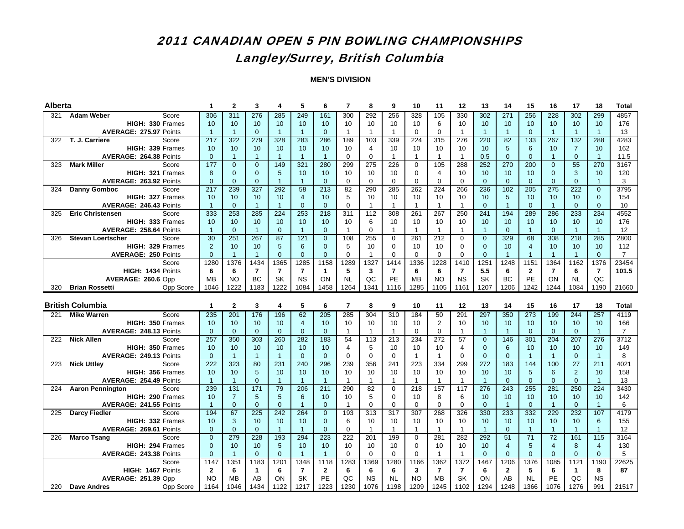## Langley/Surrey, British Columbia

| <b>Alberta</b> |                                                 | 1              | $\mathbf{2}$        | 3               | 4                    | 5                    | 6                          | $\overline{7}$ | 8                  | 9                  | 10                 | 11                | 12                 | 13                   | 14             | 15                   | 16                 | 17                   | 18                  | <b>Total</b>   |
|----------------|-------------------------------------------------|----------------|---------------------|-----------------|----------------------|----------------------|----------------------------|----------------|--------------------|--------------------|--------------------|-------------------|--------------------|----------------------|----------------|----------------------|--------------------|----------------------|---------------------|----------------|
| 321            | <b>Adam Weber</b><br>Score                      | 306            | 311                 | 276             | 285                  | 249                  | 161                        | 300            | 292                | 256                | 328                | 105               | 330                | 302                  | 271            | 256                  | 228                | 302                  | 299                 | 4857           |
|                | HIGH: 330 Frames                                | 10             | 10                  | 10              | 10                   | 10                   | 10                         | 10             | 10                 | 10                 | 10                 | 6                 | 10                 | 10                   | 10             | 10                   | 10                 | 10                   | 10                  | 176            |
|                | AVERAGE: 275.97 Points                          | $\overline{1}$ | $\overline{1}$      | $\mathbf{0}$    | $\overline{1}$       | $\overline{1}$       | $\overline{0}$             | $\mathbf{1}$   | $\mathbf{1}$       | $\mathbf{1}$       | $\mathbf 0$        | $\mathbf 0$       | $\mathbf{1}$       | $\overline{1}$       | $\overline{1}$ | $\Omega$             | $\overline{1}$     | $\overline{1}$       | $\overline{1}$      | 13             |
| 322            | T. J. Carriere<br>Score                         | 217            | 322                 | 279             | 328                  | 283                  | 286                        | 189            | 103                | 339                | 224                | 315               | 276                | 220                  | 82             | 133                  | 267                | 132                  | 288                 | 4283           |
|                | HIGH: 339 Frames                                | 10             | 10                  | 10 <sup>°</sup> | 10                   | 10                   | 10                         | 10             | 4                  | 10                 | 10                 | 10                | 10                 | 10                   | 5              | 6                    | 10                 | $\overline{7}$       | 10                  | 162            |
|                | AVERAGE: 264.38 Points                          | $\Omega$       | $\overline{1}$      | $\mathbf{1}$    | $\overline{1}$       | $\overline{1}$       | $\overline{1}$             | $\Omega$       | $\Omega$           | $\mathbf{1}$       | $\mathbf{1}$       | $\mathbf{1}$      | $\mathbf{1}$       | 0.5                  | $\Omega$       | $\Omega$             | $\overline{1}$     | $\Omega$             | $\overline{1}$      | 11.5           |
| 323            | <b>Mark Miller</b><br>Score                     | 177            | $\mathbf{0}$        | $\Omega$        | 149                  | 321                  | 280                        | 299            | 275                | 226                | $\Omega$           | 105               | 288                | 252                  | 270            | 200                  | $\Omega$           | 55                   | 270                 | 3167           |
|                | HIGH: 321 Frames                                | 8              | $\mathbf{0}$        | $\mathbf{0}$    | 5                    | 10                   | 10                         | 10             | 10                 | 10                 | $\mathbf 0$        | 4                 | 10                 | 10                   | 10             | 10                   | $\mathbf{0}$       | 3                    | 10                  | 120            |
|                | AVERAGE: 263.92 Points                          | $\Omega$       | $\mathbf{0}$        | $\mathbf{0}$    | $\overline{1}$       | $\overline{1}$       | $\overline{0}$             | $\mathbf 0$    | 0                  | $\mathbf 0$        | $\mathbf 0$        | $\Omega$          | $\mathbf 0$        | $\mathbf{0}$         | $\overline{0}$ | $\Omega$             | $\mathbf{0}$       | $\Omega$             | $\overline{1}$      | 3              |
| 324            | <b>Danny Gomboc</b><br>Score                    | 217            | 239                 | 327             | 292                  | 58                   | 213                        | 82             | 290                | 285                | 262                | 224               | 266                | 236                  | 102            | 205                  | $\overline{275}$   | 222                  | $\overline{0}$      | 3795           |
|                | <b>HIGH: 327 Frames</b>                         | 10             | 10                  | 10              | 10                   | $\overline{4}$       | 10                         | 5              | 10                 | 10                 | 10                 | 10                | 10                 | 10                   | 5              | 10                   | 10                 | 10                   | $\overline{0}$      | 154            |
|                | AVERAGE: 246.43 Points                          | $\mathbf{1}$   | $\Omega$            | $\mathbf{1}$    | $\overline{1}$       | $\Omega$             | $\Omega$                   | $\Omega$       | $\mathbf{1}$       | $\mathbf{1}$       | $\mathbf{1}$       | $\mathbf{1}$      | $\mathbf{1}$       | $\Omega$             | $\overline{1}$ | $\Omega$             | $\overline{1}$     | $\Omega$             | $\Omega$            | 10             |
| 325            | <b>Eric Christensen</b><br>Score                | 333            | 253                 | 285             | 224                  | 253                  | 218                        | 311            | 112                | 308                | 261                | 267               | 250                | 241                  | 194            | 289                  | 286                | 233                  | 234                 | 4552           |
|                | HIGH: 333 Frames                                | 10             | 10                  | 10              | 10                   | 10                   | 10                         | 10             | 6                  | 10                 | 10                 | 10                | 10                 | 10                   | 10             | 10                   | 10                 | 10                   | 10                  | 176            |
|                | AVERAGE: 258.64 Points                          | $\overline{1}$ | $\mathbf{0}$        | $\mathbf{1}$    | $\mathbf{0}$         | $\overline{1}$       | $\overline{0}$             | $\mathbf{1}$   | $\mathbf 0$        | $\mathbf{1}$       | $\mathbf{1}$       | $\mathbf{1}$      | $\mathbf{1}$       | $\overline{1}$       | $\overline{0}$ | $\overline{1}$       | $\mathbf{0}$       | $\overline{1}$       | $\overline{1}$      | 12             |
| 326            | <b>Stevan Loertscher</b><br>Score               | 30             | 251                 | 267             | 87                   | 121                  | $\mathbf{0}$               | 108            | 255                | 0                  | 261                | 212               | $\mathbf 0$        | $\mathbf{0}$         | 329            | 68                   | 308                | 218                  | 285                 | 2800           |
|                | HIGH: 329 Frames                                | $\overline{2}$ | 10                  | 10 <sup>°</sup> | 5                    | 6                    | $\mathbf{0}$               | 5              | 10                 | $\mathbf 0$        | 10                 | 10                | 0                  | $\mathbf{0}$         | 10             | 4                    | 10                 | 10                   | 10                  | 112            |
|                | <b>AVERAGE: 250 Points</b>                      | $\mathbf{0}$   | $\overline{1}$      | $\mathbf{1}$    | $\mathbf{0}$         | $\mathbf{0}$         | $\overline{0}$             | $\mathbf 0$    | $\mathbf{1}$       | $\mathbf 0$        | $\mathbf 0$        | $\mathbf 0$       | $\mathbf 0$        | $\mathbf{0}$         | $\overline{1}$ | $\overline{1}$       | $\overline{1}$     | $\overline{1}$       | $\overline{0}$      | $\overline{7}$ |
|                | Score                                           | 1280           | 1376                | 1434            | 1365                 | 1285                 | 1158                       | 1289           | 1327               | 1414               | 1336               | 1228              | 1410               | 1251                 | 1248           | 1151                 | 1364               | 1162                 | 1376                | 23454          |
|                | HIGH: 1434 Points                               | 6              | 6                   | 7               | $\overline{7}$       | $\overline{7}$       | $\mathbf{1}$               | 5              | 3                  | $\overline{7}$     | 6                  | 6                 | 7                  | 5.5                  | 6              | $\mathbf{2}$         | $\overline{7}$     | 6                    | $\overline{7}$      | 101.5          |
|                | AVERAGE: 260.6 Opp                              | <b>MB</b>      | <b>NO</b>           | <b>BC</b>       | <b>SK</b>            | <b>NS</b>            | ON                         | <b>NL</b>      | QC                 | PE                 | <b>MB</b>          | <b>NO</b>         | <b>NS</b>          | <b>SK</b>            | <b>BC</b>      | PE                   | ON                 | <b>NL</b>            | QC                  |                |
| 320            | <b>Brian Rossetti</b><br><b>Opp Score</b>       | 1046           | 1222                | 1183            | 1222                 | 1084                 | 1458                       | 1264           | 1341               | 1116               | 1285               | 1105              | 1161               | 1207                 | 1206           | 1242                 | 1244               | 1084                 | 1190                | 21660          |
|                |                                                 |                |                     |                 |                      |                      |                            |                |                    |                    |                    |                   |                    |                      |                |                      |                    |                      |                     |                |
|                |                                                 |                |                     |                 |                      |                      |                            |                |                    |                    |                    |                   |                    |                      |                |                      |                    |                      |                     |                |
|                | <b>British Columbia</b>                         | 1              | $\overline{2}$      | 3               | 4                    | 5                    | 6                          | $\overline{7}$ | 8                  | 9                  | 10                 | 11                | 12                 | 13                   | 14             | 15                   | 16                 | 17                   | 18                  | <b>Total</b>   |
| 221            | <b>Mike Warren</b><br>Score                     | 235            | 201                 | 176             | 196                  | 62                   | 205                        | 285            | 304                | 310                | 184                | 50                | 291                | 297                  | 350            | 273                  | 199                | 244                  | 257                 | 4119           |
|                | HIGH: 350 Frames                                | 10             | 10                  | 10              | 10                   | $\overline{4}$       | 10                         | 10             | 10                 | 10                 | 10                 | $\overline{2}$    | 10                 | 10                   | 10             | 10                   | 10                 | 10                   | 10                  | 166            |
|                | AVERAGE: 248.13 Points                          | $\Omega$       | $\Omega$            | $\Omega$        | $\overline{0}$       | $\Omega$             | $\overline{0}$             | $\mathbf{1}$   | $\mathbf{1}$       | $\mathbf{1}$       | $\Omega$           | $\Omega$          | $\mathbf{1}$       | $\overline{1}$       | $\overline{1}$ | $\Omega$             | $\Omega$           | $\Omega$             | $\overline{1}$      | $\overline{7}$ |
| 222            | <b>Nick Allen</b><br>Score                      | 257            | 350                 | 303             | 260                  | 282                  | 183                        | 54             | 113                | 213                | 234                | 272               | 57                 | $\Omega$             | 146            | 301                  | 204                | 207                  | 276                 | 3712           |
|                | HIGH: 350 Frames                                | 10             | 10                  | 10              | 10                   | 10                   | 10                         | $\overline{4}$ | 5                  | 10                 | 10                 | 10                | 4                  | $\Omega$             | 6              | 10                   | 10                 | 10                   | 10                  | 149            |
|                | AVERAGE: 249.13 Points                          | $\Omega$       | $\overline{1}$      | $\overline{1}$  | $\overline{1}$       | $\Omega$             | $\mathbf{0}$               | $\Omega$       | $\Omega$           | $\Omega$           | $\mathbf{1}$       | $\mathbf{1}$      | $\Omega$           | $\Omega$             | $\overline{0}$ | $\overline{1}$       | $\overline{1}$     | $\Omega$             | $\overline{1}$      | 8              |
| 223            | Score<br><b>Nick Uttley</b>                     | 222            | 323                 | 80              | 231                  | 240                  | 296                        | 239            | 356                | 241                | 223                | 334               | 299                | 272                  | 183            | 144                  | 100                | 27                   | 211                 | 4021           |
|                | HIGH: 356 Frames                                | 10             | 10                  | 5               | 10                   | 10                   | 10                         | 10             | 10                 | 10                 | 10                 | 10                | 10                 | 10                   | 10             | 5                    | 6                  | $\overline{2}$       | 10                  | 158            |
|                | AVERAGE: 254.49 Points                          | $\mathbf{1}$   | $\overline{1}$      | $\Omega$        | $\overline{1}$       | $\overline{1}$       | $\overline{1}$             | $\mathbf{1}$   | -1                 | $\mathbf{1}$       | $\mathbf{1}$       | $\mathbf{1}$      | $\mathbf{1}$       | $\overline{1}$       | $\Omega$       | $\Omega$             | $\mathbf{0}$       | $\Omega$             | $\overline{1}$      | 13             |
| 224            | <b>Aaron Pennington</b><br>Score                | 239            | 131                 | 171             | 79                   | 206                  | 211                        | 290            | 82                 | $\mathbf 0$        | 218                | 157               | 117                | 276                  | 243            | 255                  | 281                | 250                  | 224                 | 3430           |
|                | HIGH: 290 Frames                                | 10             | $\overline{7}$      | 5               | 5                    | 6                    | 10                         | 10             | 5                  | $\mathbf 0$        | 10                 | 8                 | 6                  | 10                   | 10             | 10                   | 10                 | 10                   | 10                  | 142            |
|                | AVERAGE: 241.55 Points                          | $\overline{1}$ | $\overline{0}$      | $\Omega$        | $\mathbf{0}$         | $\overline{1}$       | $\overline{0}$             | $\mathbf{1}$   | $\Omega$           | $\Omega$           | $\Omega$           | $\Omega$          | $\mathbf 0$        | $\mathbf{0}$         | $\overline{1}$ | $\Omega$             | $\overline{1}$     | $\Omega$             | $\overline{1}$      | 6              |
| 225            | Darcy Fiedler<br>Score                          | 194            | 67                  | 225             | 242                  | 264                  | $\overline{0}$             | 193            | 313                | 317                | 307                | 268               | 326                | 330                  | 233            | 332                  | 229                | 232                  | 107                 | 4179           |
|                | HIGH: 332 Frames                                | 10<br>$\Omega$ | 3                   | 10<br>$\Omega$  | 10<br>$\overline{1}$ | 10<br>$\overline{1}$ | $\overline{0}$<br>$\Omega$ | 6<br>$\Omega$  | 10<br>$\mathbf{1}$ | 10<br>$\mathbf{1}$ | 10<br>$\mathbf{1}$ | 10<br>$\mathbf 1$ | 10<br>$\mathbf{1}$ | 10<br>$\overline{1}$ | 10<br>$\Omega$ | 10<br>$\overline{1}$ | 10<br>$\mathbf{1}$ | 10<br>$\mathbf{1}$   | 6<br>$\overline{1}$ | 155            |
| 226            | AVERAGE: 269.61 Points                          | $\Omega$       | $\mathbf{0}$<br>279 | 228             | 193                  | 294                  | 223                        | 222            | 201                | 199                | $\mathbf 0$        | 281               | 282                | 292                  | 51             | 71                   | 72                 | 161                  | 115                 | 12<br>3164     |
|                | <b>Marco Tsang</b><br>Score<br>HIGH: 294 Frames | $\mathbf{0}$   | 10                  | 10              | 5                    | 10                   | 10                         | 10             | 10                 | 10                 | $\mathbf 0$        | 10                | 10                 | 10                   | $\overline{4}$ | 5                    | $\overline{4}$     | 8                    | $\overline{4}$      | 130            |
|                | AVERAGE: 243.38 Points                          | $\Omega$       | $\overline{1}$      | $\Omega$        | $\mathbf{0}$         | $\overline{1}$       | $\overline{1}$             | $\Omega$       | $\Omega$           | $\Omega$           | $\Omega$           | $\mathbf{1}$      | $\mathbf{1}$       | $\Omega$             | $\Omega$       | $\Omega$             | $\Omega$           | $\Omega$             | $\overline{0}$      | 5              |
|                | Score                                           | 1147           | 1351                | 1183            | 1201                 | 1348                 | 1118                       | 1283           | 1369               | 1280               | 1166               | 1362              | 1372               | 1467                 | 1206           | 1376                 | 1085               | 1121                 | 1190                | 22625          |
|                | HIGH: 1467 Points                               | $\mathbf{2}$   | 6                   | 1               | 6                    | $\overline{7}$       | $\mathbf{2}$               | 6              | 6                  | 6                  | 3                  | $\overline{7}$    | $\overline{7}$     | 6                    | $\mathbf{2}$   | 5                    | 6                  | $\blacktriangleleft$ | 8                   | 87             |
|                | <b>AVERAGE: 251.39 Opp</b>                      | <b>NO</b>      | <b>MB</b>           | AB              | ON                   | <b>SK</b>            | PE                         | QC             | <b>NS</b>          | <b>NL</b>          | <b>NO</b>          | <b>MB</b>         | SK                 | ON                   | AB             | <b>NL</b>            | PE                 | QC                   | <b>NS</b>           |                |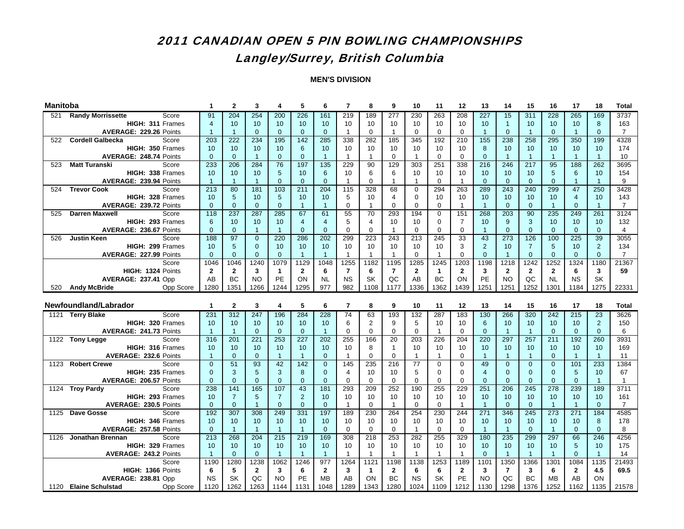## Langley/Surrey, British Columbia

| <b>Manitoba</b> |                                              | 1                 | $\mathbf{2}$         | 3                   | 4                 | 5                    | 6                 | $\overline{7}$ | 8              | 9                | 10                | 11           | 12             | 13                    | 14                   | 15                | 16                   | 17                    | 18                | <b>Total</b>   |
|-----------------|----------------------------------------------|-------------------|----------------------|---------------------|-------------------|----------------------|-------------------|----------------|----------------|------------------|-------------------|--------------|----------------|-----------------------|----------------------|-------------------|----------------------|-----------------------|-------------------|----------------|
| 521             | <b>Randy Morrissette</b><br>Score            | 91                | 204                  | 254                 | 200               | 226                  | 161               | 219            | 189            | $\overline{277}$ | 230               | 263          | 208            | 227                   | 15                   | 311               | 228                  | 265                   | 169               | 3737           |
|                 | HIGH: 311 Frames                             | 4                 | 10                   | 10 <sup>°</sup>     | 10                | 10                   | 10                | 10             | 10             | 10               | 10                | 10           | 10             | 10                    | $\overline{1}$       | 10                | 10                   | 10 <sup>°</sup>       | 8                 | 163            |
|                 | AVERAGE: 229.26 Points                       | $\overline{1}$    | $\overline{1}$       | $\mathbf{0}$        | $\overline{0}$    | $\mathbf{0}$         | $\overline{0}$    | $\mathbf{1}$   | $\mathbf 0$    | $\mathbf{1}$     | $\mathbf 0$       | $\mathbf 0$  | $\mathbf 0$    | $\overline{1}$        | $\overline{0}$       | $\overline{1}$    | $\mathbf{0}$         | $\overline{1}$        | $\mathbf{0}$      | $\overline{7}$ |
| 522             | <b>Cordell Galbecka</b><br>Score             | 203               | 222                  | 234                 | 195               | 142                  | 285               | 338            | 282            | 185              | 345               | 192          | 210            | 155                   | 238                  | 258               | 295                  | 350                   | 199               | 4328           |
|                 | HIGH: 350 Frames                             | 10                | 10                   | 10 <sup>1</sup>     | 10                | 6                    | 10                | 10             | 10             | 10               | 10                | 10           | 10             | 8                     | 10                   | 10                | 10                   | 10 <sup>°</sup>       | 10                | 174            |
|                 | AVERAGE: 248.74 Points                       | $\Omega$          | $\mathbf{0}$         | $\mathbf{1}$        | $\mathbf{0}$      | $\Omega$             | $\overline{1}$    | $\mathbf{1}$   | $\mathbf{1}$   | $\Omega$         | $\mathbf{1}$      | $\Omega$     | $\Omega$       | $\Omega$              | $\overline{1}$       | $\overline{1}$    | $\blacktriangleleft$ | $\overline{1}$        | $\overline{1}$    | 10             |
| 523             | <b>Matt Turanski</b><br>Score                | 233               | 206                  | 284                 | 76                | 197                  | $\frac{1}{135}$   | 229            | 90             | 129              | 303               | 251          | 338            | $\overline{216}$      | 246                  | 217               | 95                   | 188                   | 262               | 3695           |
|                 | HIGH: 338 Frames                             | 10                | 10                   | 10                  | 5                 | 10                   | 6                 | 10             | 6              | 6                | 10                | 10           | 10             | 10                    | 10                   | 10                | 5                    | 6                     | 10                | 154            |
|                 | AVERAGE: 239.94 Points                       | $\overline{1}$    | $\overline{1}$       | $\mathbf{1}$        | $\mathbf{0}$      | $\mathbf{0}$         | $\overline{0}$    | $\mathbf{1}$   | $\Omega$       | $\mathbf{1}$     | $\mathbf{1}$      | $\Omega$     | $\mathbf{1}$   | $\Omega$              | $\overline{0}$       | $\Omega$          | $\mathbf{0}$         | $\overline{1}$        | $\overline{1}$    | 9              |
| 524             | <b>Trevor Cook</b><br>Score                  | 213               | 80                   | 181                 | 103               | 211                  | 204               | 115            | 328            | 68               | $\mathbf 0$       | 294          | 263            | 289                   | 243                  | 240               | 299                  | 47                    | 250               | 3428           |
|                 | HIGH: 328 Frames                             | 10                | $\sqrt{5}$           | 10                  | $5\phantom{.0}$   | 10                   | 10                | 5              | 10             | 4                | $\mathbf 0$       | 10           | 10             | 10                    | 10                   | 10                | 10                   | $\overline{4}$        | 10                | 143            |
|                 | AVERAGE: 239.72 Points                       | $\mathbf{0}$      | $\mathbf{0}$         | $\overline{0}$      | $\overline{0}$    | $\overline{1}$       | $\overline{1}$    | $\mathbf 0$    | $\mathbf{1}$   | $\mathbf 0$      | $\mathbf 0$       | $\mathbf 0$  | $\mathbf{1}$   | $\overline{1}$        | $\overline{0}$       | $\overline{0}$    | $\mathbf{1}$         | $\overline{0}$        | $\overline{1}$    | $\overline{7}$ |
| 525             | <b>Darren Maxwell</b><br>Score               | 118               | 237                  | 287                 | 285               | 67                   | 61                | 55             | 70             | 293              | 194               | 0            | 151            | 268                   | 203                  | 90                | 235                  | 249                   | 261               | 3124           |
|                 | HIGH: 293 Frames                             | 6                 | 10                   | 10                  | 10                | $\overline{4}$       | $\overline{4}$    | 5              | $\overline{4}$ | 10               | 10                | $\mathbf 0$  | $\overline{7}$ | 10                    | 9                    | 3                 | 10                   | 10                    | 10                | 132            |
|                 | AVERAGE: 236.67 Points                       | $\mathbf{0}$      | $\mathbf{0}$         | $\mathbf{1}$        | $\overline{1}$    | $\mathbf{0}$         | $\overline{0}$    | $\mathbf 0$    | $\mathbf 0$    | $\mathbf{1}$     | $\mathbf 0$       | 0            | $\mathbf 0$    | -1                    | $\overline{0}$       | $\overline{0}$    | $\mathbf{0}$         | $\overline{0}$        | $\mathbf{0}$      | $\overline{4}$ |
| 526             | <b>Justin Keen</b><br>Score                  | 188               | 97                   | $\overline{0}$      | 220               | 286                  | 202               | 299            | 223            | 243              | 213               | 245          | 33             | 43                    | 273                  | 126               | 100                  | 225                   | 39                | 3055           |
|                 | HIGH: 299 Frames                             | 10                | $5\phantom{1}$       | $\mathbf{0}$        | 10                | 10                   | 10                | 10             | 10             | 10               | 10                | 10           | 3              | 2                     | 10                   | $\overline{7}$    | 5                    | 10                    | $\overline{2}$    | 134            |
|                 | AVERAGE: 227.99 Points                       | $\mathbf{0}$      | $\mathbf{0}$         | $\overline{0}$      | $\mathbf{0}$      | $\overline{1}$       | $\overline{1}$    | $\mathbf{1}$   | $\mathbf{1}$   | $\mathbf{1}$     | $\mathbf 0$       | $\mathbf{1}$ | $\mathbf 0$    | $\mathbf{0}$          | $\overline{1}$       | $\overline{0}$    | $\mathbf{0}$         | $\overline{0}$        | $\mathbf{0}$      | $\overline{7}$ |
|                 | Score                                        | 1046              | 1046                 | 1240                | 1079              | 1129                 | 1048              | 1255           | 1182           | 1195             | 1285              | 1245         | 1203           | 1198                  | 1218                 | 1242              | 1252                 | 1324                  | 1180              | 21367          |
|                 | HIGH: 1324 Points                            | $\mathbf{2}$      | $\overline{2}$       | 3                   | $\mathbf{1}$      | $\mathbf{2}$         | 6                 | $\overline{7}$ | 6              | $\overline{7}$   | $\mathbf{2}$      | $\mathbf{1}$ | $\mathbf{2}$   | 3                     | $\overline{2}$       | $\mathbf{2}$      | $\mathbf{2}$         | 6                     | 3                 | 59             |
|                 | AVERAGE: 237.41 Opp                          | AB                | <b>BC</b>            | <b>NO</b>           | PE                | ON                   | <b>NL</b>         | <b>NS</b>      | <b>SK</b>      | QC               | AB                | BC           | ON             | PE                    | <b>NO</b>            | QC                | <b>NL</b>            | <b>NS</b>             | <b>SK</b>         |                |
| 520             | Opp Score<br><b>Andy McBride</b>             | 1280              | 1351                 | 1266                | 1244              | 1295                 | 977               | 982            | 1108           | 1177             | 1336              | 1362         | 1439           | 1251                  | 1251                 | 1252              | 1301                 | 1184                  | 1275              | 22331          |
|                 |                                              |                   |                      |                     |                   |                      |                   |                |                |                  |                   |              |                |                       |                      |                   |                      |                       |                   |                |
|                 |                                              |                   |                      |                     |                   |                      |                   |                |                |                  |                   |              |                |                       |                      |                   |                      |                       |                   |                |
|                 | Newfoundland/Labrador                        | 1                 | $\mathbf{2}$         | 3                   | 4                 | 5                    | 6                 | $\overline{7}$ | 8              | 9                | 10                | 11           | 12             | 13                    | 14                   | 15                | 16                   | 17                    | 18                | <b>Total</b>   |
|                 | Score<br>1121 Terry Blake                    | 231               | 312                  | 247                 | 196               | 284                  | 228               | 74             | 63             | 193              | 132               | 287          | 183            | 130                   | 266                  | 320               | 242                  | 215                   | 23                | 3626           |
|                 | HIGH: 320 Frames                             | 10                | 10                   | 10 <sup>°</sup>     | 10                | 10                   | 10                | 6              | $\overline{2}$ | 9                | 5                 | 10           | 10             | 6                     | 10                   | 10                | 10                   | 10                    | 2                 | 150            |
|                 | AVERAGE: 241.73 Points                       | $\overline{1}$    | $\overline{1}$       | $\overline{0}$      | $\overline{0}$    | $\mathbf{0}$         | $\overline{1}$    | $\Omega$       | $\mathbf 0$    | 0                | $\mathbf 0$       | $\mathbf{1}$ | $\mathbf 0$    | $\mathbf{0}$          | $\overline{1}$       | $\overline{1}$    | $\mathbf{0}$         | $\Omega$              | $\overline{0}$    | 6              |
|                 | 1122 Tony Legge<br>Score                     | 316               | $\overline{201}$     | 221                 | 253               | 227                  | $\overline{202}$  | 255            | 166            | 20               | 203               | 226          | 204            | 220                   | 297                  | 257               | $\overline{211}$     | 192                   | 260               | 3931           |
|                 | HIGH: 316 Frames                             | 10                | 10                   | 10                  | 10                | 10                   | 10                | 10             | 8              | $\mathbf{1}$     | 10                | 10           | 10             | 10                    | 10                   | 10                | 10                   | 10                    | 10                | 169            |
|                 | <b>AVERAGE: 232.6 Points</b>                 | $\mathbf{1}$      | $\mathbf{0}$         | $\overline{0}$      | $\mathbf{1}$      | $\overline{1}$       | $\mathbf{0}$      | $\mathbf{1}$   | $\Omega$       | 0                | $\mathbf{1}$      | $\mathbf{1}$ | $\mathbf 0$    | $\overline{1}$        | $\mathbf{1}$         | $\overline{1}$    | $\mathbf{0}$         | $\overline{1}$        | $\overline{1}$    | 11             |
| 1123            | <b>Robert Crewe</b><br>Score                 | $\Omega$          | 51                   | 93                  | 42                | 142                  | $\overline{0}$    | 145            | 235            | 216              | 77                | $\mathbf 0$  | $\mathbf 0$    | 49                    | $\overline{0}$       | $\Omega$          | $\overline{0}$       | 101                   | 233               | 1384           |
|                 | HIGH: 235 Frames                             | $\mathbf{0}$      | 3                    | 5                   | 3                 | 8                    | $\Omega$          | 4              | 10             | 10               | 5                 | $\Omega$     | $\mathbf 0$    | $\overline{4}$        | $\Omega$             | $\Omega$          | $\mathbf{0}$         | 5                     | 10                | 67             |
|                 | AVERAGE: 206.57 Points                       | $\Omega$          | $\overline{0}$       | $\Omega$            | $\Omega$          | $\Omega$             | $\Omega$          | $\Omega$       | $\Omega$       | $\Omega$         | $\Omega$          | $\Omega$     | $\Omega$       | $\Omega$              | $\Omega$             | $\Omega$          | $\Omega$             | $\Omega$              | $\overline{1}$    | $\mathbf{1}$   |
|                 | 1124 Troy Pardy<br>Score                     | 238               | 141                  | 165                 | 107               | $\overline{43}$      | 181               | 293            | 209            | 252              | 190               | 255          | 229            | 251                   | 206                  | $\overline{245}$  | $\overline{278}$     | 239                   | 189               | 3711           |
|                 | HIGH: 293 Frames                             | 10                | $\overline{7}$       | 5                   | $\overline{7}$    | $\overline{2}$       | 10                | 10             | 10             | 10               | 10                | 10           | 10             | 10                    | 10                   | 10                | 10                   | 10                    | 10                | 161            |
| 1125            | AVERAGE: 230.5 Points<br>Score               | $\mathbf{0}$      | $\mathbf 0$          | $\mathbf{1}$<br>308 | $\mathbf{0}$      | $\mathbf{0}$         | $\overline{0}$    | $\mathbf{1}$   | 0              | $\mathbf{1}$     | $\mathbf 0$       | $\mathbf 0$  | $\mathbf{1}$   | $\overline{1}$<br>271 | $\mathbf{0}$<br>346  | $\mathbf{0}$      | $\overline{1}$       | $\overline{1}$<br>271 | $\mathbf{0}$      | $\overline{7}$ |
|                 | Dave Gosse                                   | 192<br>10         | 307                  |                     | 249<br>10         | 331                  | 197               | 189            | 230            | 264<br>10        | 254<br>10         | 230<br>10    | 244<br>10      | 10                    |                      | 245<br>10         | 273<br>10            | 10                    | 184               | 4585           |
|                 | HIGH: 346 Frames<br>AVERAGE: 257.58 Points   | $\Omega$          | 10<br>$\overline{1}$ | 10<br>$\mathbf{1}$  | $\overline{1}$    | 10<br>$\overline{1}$ | 10<br>$\Omega$    | 10<br>$\Omega$ | 10<br>$\Omega$ | $\Omega$         | $\mathbf{1}$      | $\Omega$     | $\Omega$       | $\overline{1}$        | 10<br>$\overline{1}$ | $\Omega$          | $\blacktriangleleft$ | $\Omega$              | 8<br>$\mathbf{0}$ | 178<br>8       |
| 1126            | <b>Jonathan Brennan</b><br>Score             | 213               | 268                  | 204                 | $\overline{215}$  | 219                  | 169               | 308            | 218            | 253              | 282               | 255          | 329            | 180                   | 235                  | 299               | 297                  | 66                    | 246               | 4256           |
|                 | HIGH: 329 Frames                             | 10                | 10                   | 10                  | 10                | 10                   | 10                | 10             | 10             | 10               | 10                | 10           | 10             | 10                    | 10                   | 10                | 10                   | 5                     | 10                | 175            |
|                 | AVERAGE: 243.2 Points                        | $\overline{1}$    | $\mathbf{0}$         | $\mathbf{0}$        | $\overline{1}$    | $\overline{1}$       | $\overline{1}$    | $\mathbf{1}$   | $\mathbf{1}$   | $\mathbf{1}$     | $\mathbf{1}$      | $\mathbf{1}$ | $\mathbf{1}$   | $\Omega$              | $\overline{1}$       | $\overline{1}$    | $\overline{1}$       | $\Omega$              | $\overline{1}$    | 14             |
|                 | Score                                        | 1190              | 1280                 | 1238                | 1062              | 1246                 | 977               | 1264           | 1121           | 1198             | 1138              | 1253         | 1189           | 1101                  | 1350                 | 1366              | 1301                 | 1084                  | 1135              | 21493          |
|                 | HIGH: 1366 Points                            | 6                 | 5                    | $\overline{2}$      | 3                 | 6                    | $\overline{2}$    | 3              | $\mathbf{1}$   | $\mathbf{2}$     | 6                 | 6            | $\mathbf{2}$   | 3                     | $\overline{7}$       | 3                 | 6                    | $\mathbf{2}$          | 4.5               | 69.5           |
|                 | AVERAGE: 238.81 Opp<br>1120 Elaine Schulstad | <b>NS</b><br>1120 | SK<br>1262           | QC<br>1263          | <b>NO</b><br>1144 | PE                   | <b>MB</b><br>1048 | AB<br>1289     | ON<br>1343     | BC<br>1280       | <b>NS</b><br>1024 | SK<br>1109   | PE<br>1212     | <b>NO</b><br>1130     | QC<br>1298           | <b>BC</b><br>1376 | <b>MB</b><br>1252    | AB<br>1162            | ON<br>1135        | 21578          |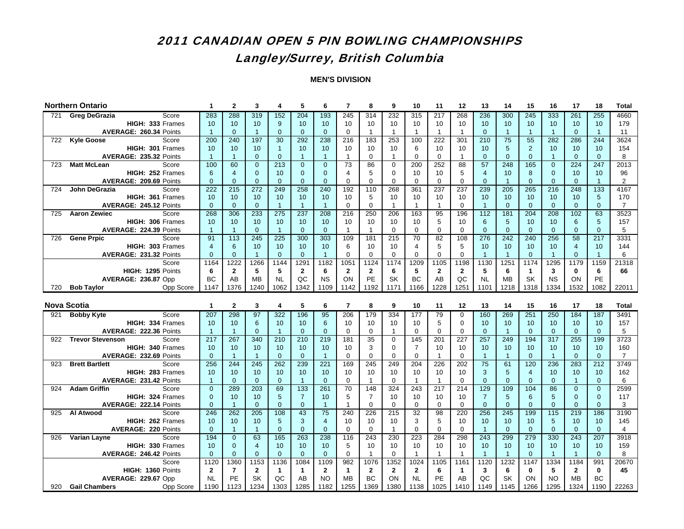## Langley/Surrey, British Columbia

|     | <b>Northern Ontario</b>                                  | 1                 | $\mathbf{2}$         | 3                 | 4                | 5                  | 6                 | $\overline{7}$       | 8                  | 9                | 10                    | 11                 | 12                 | 13                     | 14                | 15                   | 16                | 17                | 18                     | <b>Total</b>      |
|-----|----------------------------------------------------------|-------------------|----------------------|-------------------|------------------|--------------------|-------------------|----------------------|--------------------|------------------|-----------------------|--------------------|--------------------|------------------------|-------------------|----------------------|-------------------|-------------------|------------------------|-------------------|
| 721 | Score<br><b>Greg DeGrazia</b>                            | 283               | 288                  | 319               | 152              | 204                | 193               | 245                  | 314                | 232              | 315                   | 217                | 268                | 236                    | 300               | 245                  | 333               | 261               | 255                    | 4660              |
|     | HIGH: 333 Frames                                         | 10                | 10                   | 10                | 9                | 10                 | 10                | 10                   | 10                 | 10               | 10                    | 10                 | 10                 | 10                     | 10                | 10                   | 10                | 10                | 10                     | 179               |
|     | AVERAGE: 260.34 Points                                   | $\overline{1}$    | $\mathbf{0}$         | $\overline{1}$    | $\mathbf{0}$     | $\mathbf{0}$       | $\overline{0}$    | $\mathbf 0$          | $\overline{1}$     | $\mathbf{1}$     | $\mathbf{1}$          | $\mathbf{1}$       | $\mathbf{1}$       | $\mathbf{0}$           | $\overline{1}$    | $\overline{1}$       | $\overline{1}$    | $\mathbf{0}$      | $\overline{1}$         | 11                |
| 722 | <b>Kyle Goose</b><br>Score                               | 200               | 240                  | 197               | 30               | 292                | 238               | 216                  | 183                | 253              | 100                   | 222                | 301                | 210                    | 75                | 55                   | 282               | 286               | 244                    | 3624              |
|     | HIGH: 301 Frames                                         | 10                | 10                   | 10                | $\mathbf{1}$     | 10                 | 10                | 10                   | 10                 | 10               | 6                     | 10                 | 10                 | 10                     | 5                 | $\overline{2}$       | 10                | 10                | 10                     | 154               |
|     | AVERAGE: 235.32 Points                                   | $\mathbf{1}$      | $\mathbf{1}$         | $\Omega$          | $\overline{0}$   | -1                 | $\overline{1}$    | $\mathbf{1}$         | $\Omega$           | $\mathbf{1}$     | $\Omega$              | $\Omega$           | $\mathbf{1}$       | $\Omega$               | $\Omega$          | $\Omega$             | $\overline{1}$    | $\Omega$          | $\Omega$               | 8                 |
| 723 | <b>Matt McLean</b><br>Score                              | 100               | 60                   | $\Omega$          | $\overline{213}$ | $\Omega$           | $\Omega$          | 73                   | 86                 | $\mathbf 0$      | 200                   | 252                | 88                 | 57                     | 248               | 165                  | $\Omega$          | 224               | 247                    | $\overline{2013}$ |
|     | HIGH: 252 Frames                                         | 6                 | $\overline{4}$       | $\mathbf{0}$      | 10               | $\Omega$           | $\Omega$          | $\overline{4}$       | 5                  | $\mathbf 0$      | 10                    | 10                 | 5                  | $\overline{4}$         | 10                | 8                    | $\mathbf{0}$      | 10                | 10                     | 96                |
|     | AVERAGE: 209.69 Points                                   | $\Omega$          | $\Omega$             | $\mathbf{0}$      | $\Omega$         | $\Omega$           | $\Omega$          | $\Omega$             | $\Omega$           | $\Omega$         | $\mathbf 0$           | $\Omega$           | $\mathbf 0$        | $\Omega$               | $\overline{1}$    | $\Omega$             | $\mathbf{0}$      | $\Omega$          | $\overline{1}$         | $\overline{2}$    |
| 724 | John DeGrazia<br>Score                                   | 222               | 215                  | 272               | 249              | 258                | 240               | 192                  | 110                | 268              | 361                   | 237                | 237                | 239                    | 205               | 265                  | $\overline{216}$  | 248               | 133                    | 4167              |
|     | HIGH: 361 Frames                                         | 10                | 10                   | 10                | 10               | 10                 | 10                | 10                   | 5                  | 10               | 10                    | 10                 | 10                 | 10                     | 10                | 10                   | 10                | 10                | $\sqrt{5}$             | 170               |
|     | AVERAGE: 245.12 Points                                   | $\mathbf{0}$      | $\mathbf{0}$         | $\mathbf{0}$      | $\mathbf{1}$     | $\overline{1}$     | $\overline{1}$    | $\mathbf 0$          | $\mathbf 0$        | $\mathbf{1}$     | $\mathbf{1}$          | $\mathbf{1}$       | $\mathbf 0$        | $\overline{1}$         | $\mathbf{0}$      | $\mathbf{0}$         | $\mathbf{0}$      | $\mathbf{0}$      | $\mathbf{0}$           | $\overline{7}$    |
| 725 | <b>Aaron Zewiec</b><br>Score                             | 268               | 306                  | 233               | 275              | 237                | 208               | 216                  | 250                | 206              | 163                   | 95                 | 196                | 112                    | 181               | 204                  | 208               | 102               | 63                     | 3523              |
|     | HIGH: 306 Frames                                         | 10                | 10                   | 10                | 10               | 10                 | 10                | 10                   | 10                 | 10               | 10                    | 5                  | 10                 | 6                      | 5                 | 10                   | 10                | 6                 | $5\phantom{.0}$        | 157               |
|     | AVERAGE: 224.39 Points                                   | $\mathbf{1}$      | $\overline{1}$       | $\mathbf{0}$      | $\overline{1}$   | $\overline{0}$     | $\overline{0}$    | $\mathbf{1}$         | $\mathbf{1}$       | $\mathbf 0$      | $\mathbf 0$           | $\mathbf 0$        | $\mathbf 0$        | $\overline{0}$         | $\overline{0}$    | $\mathbf{0}$         | $\mathbf{0}$      | $\mathbf{0}$      | $\mathbf{0}$           | 5                 |
| 726 | <b>Gene Prpic</b><br>Score                               | 91                | 113                  | 245               | 225              | 300                | 303               | 109                  | 18 <sup>1</sup>    | 215              | 70                    | $\overline{82}$    | 108                | 276                    | 242               | 240                  | 256               | 58                | $\overline{217}$       | 3331              |
|     | HIGH: 303 Frames                                         | $\overline{4}$    | 6                    | 10                | 10               | 10                 | 10                | 6                    | 10                 | 10               | 4                     | 5                  | 5                  | 10                     | 10                | 10                   | 10                | $\overline{4}$    | 10                     | 144               |
|     | AVERAGE: 231.32 Points                                   | $\mathbf{0}$      | $\mathbf{0}$         | $\overline{1}$    | $\overline{0}$   | $\mathbf{0}$       | $\overline{1}$    | $\mathbf 0$          | $\mathbf 0$        | $\mathbf 0$      | $\Omega$              | $\mathbf 0$        | $\mathbf 0$        | $\overline{1}$<br>1130 | $\overline{1}$    | $\overline{0}$       | $\overline{1}$    | $\mathbf{0}$      | $\overline{1}$<br>1159 | 6                 |
|     | Score                                                    | 1164<br>6         | 1222<br>$\mathbf{2}$ | 1266              | 1144<br>5        | 1291               | 1182<br>6         | 1051<br>$\mathbf{2}$ | 1124               | 1174             | 1209<br>5             | 1105               | 1198               | 5                      | 1251<br>6         | 1174<br>$\mathbf{1}$ | 1295              | 1179              | 6                      | 21318<br>66       |
|     | HIGH: 1295 Points                                        | <b>BC</b>         | AB                   | 5<br><b>MB</b>    | <b>NL</b>        | $\mathbf{2}$<br>OC | <b>NS</b>         | ON                   | $\mathbf{2}$<br>PE | 6<br>SK          | <b>BC</b>             | $\mathbf{2}$<br>AB | $\mathbf{2}$<br>OC | <b>NL</b>              | <b>MB</b>         | SK                   | 3<br><b>NS</b>    | 0<br>ON           | PE                     |                   |
| 720 | AVERAGE: 236.87 Opp<br><b>Bob Tavlor</b><br>Opp Score    | 1147              | 1376                 | 1240              | 1062             | 1342               | 1109              | 1142                 | 1192               | 1171             | 1166                  | 1228               | 1251               | 1101                   | 1218              | 1318                 | 1334              | 1532              | 1082                   | 22011             |
|     |                                                          |                   |                      |                   |                  |                    |                   |                      |                    |                  |                       |                    |                    |                        |                   |                      |                   |                   |                        |                   |
|     |                                                          |                   |                      |                   |                  |                    |                   |                      |                    |                  |                       |                    |                    |                        |                   |                      |                   |                   |                        |                   |
|     |                                                          |                   |                      |                   |                  |                    |                   |                      |                    |                  |                       |                    |                    |                        |                   |                      |                   |                   |                        |                   |
|     | <b>Nova Scotia</b>                                       | 1                 | $\mathbf{2}$         | 3                 | 4                | 5                  | 6                 | $\overline{7}$       | 8                  | 9                | 10                    | 11                 | 12                 | 13                     | 14                | 15                   | 16                | 17                | 18                     | <b>Total</b>      |
| 921 | <b>Bobby Kyte</b><br>Score                               | 207               | 298                  | 97                | 322              | 196                | 95                | 206                  | 179                | 334              | 177                   | 79                 | 0                  | 160                    | 269               | 251                  | 250               | 184               | 187                    | 3491              |
|     | HIGH: 334 Frames                                         | 10                | 10                   | 6                 | 10               | 10                 | 6                 | 10                   | 10                 | 10               | 10                    | 5                  | 0                  | 10                     | 10                | 10                   | 10                | 10                | 10                     | 157               |
| 922 | AVERAGE: 222.36 Points                                   | $\mathbf{1}$      | $\mathbf{1}$         | $\mathbf{0}$      | $\mathbf{1}$     | $\Omega$           | $\overline{0}$    | $\mathbf 0$          | $\mathbf 0$        | $\mathbf{1}$     | $\mathbf 0$           | $\mathbf 0$        | $\mathbf 0$        | $\overline{0}$         | $\overline{1}$    | $\Omega$             | $\mathbf{0}$      | $\Omega$          | $\overline{0}$         | 5                 |
|     | <b>Trevor Stevenson</b><br>Score<br>HIGH: 340 Frames     | 217<br>10         | 267<br>10            | 340<br>10         | 210<br>10        | 210<br>10          | 219<br>10         | 181<br>10            | 35                 | 0<br>$\mathbf 0$ | 145<br>$\overline{7}$ | 201<br>10          | 227<br>10          | 257<br>10              | 249<br>10         | 194<br>10            | 317<br>10         | 255<br>10         | 199<br>10              | 3723<br>160       |
|     | AVERAGE: 232.69 Points                                   | $\mathbf{0}$      | $\overline{1}$       | $\overline{1}$    | $\overline{0}$   | $\mathbf{0}$       | $\overline{1}$    | $\mathbf 0$          | 3<br>$\mathbf 0$   | $\Omega$         | $\mathbf 0$           | $\mathbf{1}$       | $\mathbf 0$        | $\overline{1}$         | $\overline{1}$    | $\Omega$             | $\overline{1}$    | $\mathbf{0}$      | $\overline{0}$         | $\overline{7}$    |
| 923 | <b>Brett Bartlett</b><br>Score                           | 256               | 244                  | 245               | 262              | 239                | 221               | 169                  | 245                | 249              | 204                   | 226                | 202                | 75                     | 61                | 120                  | 236               | 283               | 212                    | 3749              |
|     | HIGH: 283 Frames                                         | 10                | 10                   | 10                | 10               | 10                 | 10                | 10                   | 10                 | 10               | 10                    | 10                 | 10                 | 3                      | 5                 | $\overline{4}$       | 10                | 10                | 10                     | 162               |
|     | AVERAGE: 231.42 Points                                   | $\overline{1}$    | $\mathbf{0}$         | $\Omega$          | $\overline{0}$   | $\overline{1}$     | $\Omega$          | $\Omega$             | $\overline{1}$     | $\Omega$         | $\mathbf{1}$          | $\mathbf{1}$       | $\Omega$           | $\Omega$               | $\Omega$          | $\Omega$             | $\Omega$          | $\mathbf{1}$      | $\Omega$               | 6                 |
| 924 | <b>Adam Griffin</b><br>Score                             | $\Omega$          | 289                  | $\overline{203}$  | 69               | 133                | 261               | $\overline{70}$      | 148                | 324              | 243                   | 217                | 214                | 129                    | 109               | 104                  | 86                | $\Omega$          | $\Omega$               | 2599              |
|     | HIGH: 324 Frames                                         | $\mathbf{0}$      | 10                   | 10                | 5                | $\overline{7}$     | 10                | 5                    | $\overline{7}$     | 10               | 10                    | 10                 | 10                 | $\overline{7}$         | $5\phantom{.0}$   | 6                    | 5                 | $\mathbf{0}$      | $\mathbf 0$            | 117               |
|     | AVERAGE: 222.14 Points                                   | $\mathbf{0}$      | $\overline{1}$       | $\mathbf{0}$      | $\mathbf{0}$     | $\mathbf{0}$       | $\overline{1}$    | $\overline{1}$       | $\mathbf 0$        | 0                | $\mathbf 0$           | $\mathbf 0$        | $\mathbf 0$        | $\mathbf{0}$           | $\mathbf 0$       | $\mathbf{0}$         | $\mathbf{0}$      | $\mathbf{0}$      | $\mathbf{0}$           | 3                 |
| 925 | Al Atwood<br>Score                                       | 246               | 262                  | 205               | 108              | 43                 | 75                | 240                  | 226                | 215              | 32                    | 98                 | 220                | 256                    | 245               | 199                  | 115               | 219               | 186                    | 3190              |
|     | HIGH: 262 Frames                                         | 10                | 10                   | 10                | 5                | 3                  | $\overline{4}$    | 10                   | 10                 | 10               | 3                     | 5                  | 10                 | 10                     | 10                | 10                   | 5                 | 10                | 10                     | 145               |
|     | <b>AVERAGE: 220 Points</b>                               | $\Omega$          | $\mathbf{1}$         | $\overline{1}$    | $\overline{0}$   | $\Omega$           | $\Omega$          | $\mathbf 0$          | $\mathbf 0$        | $\mathbf{1}$     | $\Omega$              | $\Omega$           | $\mathbf 0$        | $\overline{1}$         | $\Omega$          | $\Omega$             | $\mathbf{0}$      | $\Omega$          | $\mathbf{0}$           | $\overline{4}$    |
| 926 | Varian Layne<br>Score                                    | 194               | $\overline{0}$       | 63                | 165              | 263                | 238               | 116                  | 243                | 230              | 223                   | 284                | 298                | 243                    | 299               | 279                  | 330               | 243               | 207                    | 3918              |
|     | HIGH: 330 Frames                                         | 10                | $\overline{0}$       | $\overline{4}$    | 10               | 10                 | 10                | 5                    | 10                 | 10               | 10                    | 10                 | 10                 | 10                     | 10                | 10                   | 10                | 10                | 10                     | 159               |
|     | AVERAGE: 246.42 Points                                   | $\Omega$          | $\mathbf{0}$         | $\mathbf{0}$      | $\mathbf{0}$     | $\Omega$           | $\overline{0}$    | $\mathbf 0$          | $\overline{1}$     | $\Omega$         | $\mathbf{1}$          | $\mathbf{1}$       | $\overline{1}$     | $\overline{1}$         | $\overline{1}$    | $\Omega$             | $\overline{1}$    | $\overline{1}$    | $\mathbf{0}$           | 8                 |
|     | Score                                                    | 1120              | 1360                 | 1153              | 1136             | 1084               | 1109              | 982                  | 1076               | 1352             | 1024                  | 1105               | 1161               | 1120                   | 1232              | 1147                 | 1334              | 1184              | 991                    | 20670             |
|     | HIGH: 1360 Points                                        | $\mathbf{2}$      | $\overline{7}$       | $\mathbf{2}$      | $\mathbf{1}$     | $\mathbf 1$        | $\overline{2}$    | $\mathbf{1}$         | $\overline{2}$     | $\mathbf{2}$     | $\overline{2}$        | 6                  | $\mathbf{1}$       | 3                      | 6                 | $\mathbf{0}$         | 5                 | $\mathbf{2}$      | $\mathbf 0$            | 45                |
| 920 | AVERAGE: 229.67 Opp<br><b>Gail Chambers</b><br>Opp Score | <b>NL</b><br>1190 | <b>PE</b><br>1123    | <b>SK</b><br>1234 | QC<br>1303       | AB<br>1285         | <b>NO</b><br>1182 | <b>MB</b><br>1255    | <b>BC</b><br>1369  | ON<br>1380       | <b>NL</b><br>1138     | PE<br>1025         | AB<br>1410         | QC<br>1149             | <b>SK</b><br>1145 | ON<br>1266           | <b>NO</b><br>1295 | <b>MB</b><br>1324 | <b>BC</b><br>1190      | 22263             |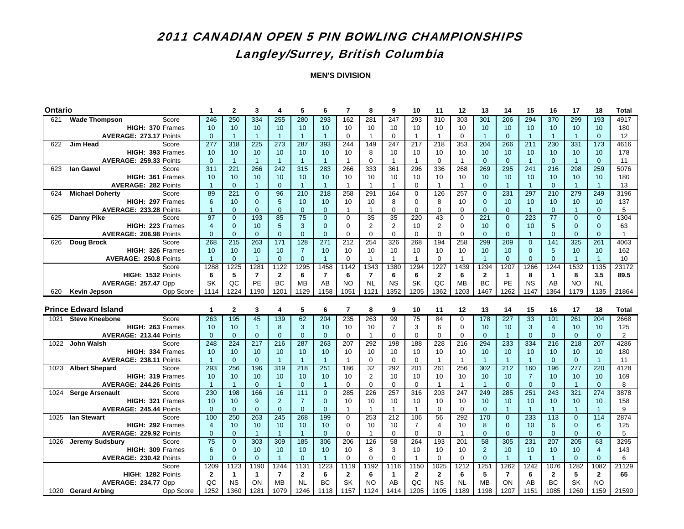## 2011 CANADIAN OPEN 5 PIN BOWLING CHAMPIONSHIPSLangley/Surrey, British Columbia

| <b>Ontario</b> |                                                               | 1                    | $\mathbf{2}$         | 3                        | 4                    | 5                    | 6                    | $\overline{7}$       | 8                 | 9                 | 10                | 11                 | 12                 | 13                   | 14                   | 15                   | 16                   | 17                 | 18                   | <b>Total</b>   |
|----------------|---------------------------------------------------------------|----------------------|----------------------|--------------------------|----------------------|----------------------|----------------------|----------------------|-------------------|-------------------|-------------------|--------------------|--------------------|----------------------|----------------------|----------------------|----------------------|--------------------|----------------------|----------------|
| 621            | Score<br><b>Wade Thompson</b>                                 | 246                  | 250                  | 334                      | 255                  | 280                  | 293                  | 162                  | 281               | $\overline{247}$  | 293               | 310                | 303                | 301                  | 206                  | 294                  | 370                  | 299                | 193                  | 4917           |
|                | HIGH: 370 Frames                                              | 10                   | 10                   | 10                       | 10                   | 10                   | 10                   | 10                   | 10                | 10                | 10                | 10                 | 10                 | 10                   | 10                   | 10                   | 10                   | 10                 | 10                   | 180            |
|                | AVERAGE: 273.17 Points                                        | $\mathbf{0}$         | $\overline{1}$       | $\overline{1}$           | $\mathbf{1}$         | $\overline{1}$       | $\overline{1}$       | $\mathbf 0$          | $\mathbf{1}$      | $\mathbf 0$       | $\mathbf{1}$      | $\mathbf{1}$       | $\mathbf 0$        | $\overline{1}$       | $\overline{0}$       | $\overline{1}$       | $\overline{1}$       | $\overline{1}$     | $\overline{0}$       | 12             |
| 622            | <b>Jim Head</b><br>Score                                      | 277                  | 318                  | 225                      | 273                  | 287                  | 393                  | 244                  | 149               | 247               | 217               | 218                | 353                | 204                  | 266                  | 211                  | 230                  | 331                | 173                  | 4616           |
|                | HIGH: 393 Frames                                              | 10 <sup>1</sup>      | 10                   | 10                       | 10                   | 10                   | 10                   | 10                   | 8                 | 10                | 10                | 10                 | 10                 | 10                   | 10                   | 10                   | 10                   | 10                 | 10                   | 178            |
|                | AVERAGE: 259.33 Points                                        | $\mathbf{0}$         | $\overline{1}$       | $\overline{1}$           | $\overline{1}$       | $\overline{1}$       | $\overline{1}$       | $\overline{1}$       | $\mathbf 0$       | $\overline{1}$    | $\mathbf{1}$      | $\mathbf 0$        | $\mathbf{1}$       | $\overline{0}$       | $\mathbf{0}$         | $\mathbf{1}$         | $\mathbf{0}$         | $\mathbf{1}$       | $\mathbf{0}$         | 11             |
| 623            | lan Gawel<br>Score                                            | 311                  | 221                  | 266                      | $\overline{242}$     | 315                  | 283                  | 266                  | 333               | 361               | 296               | 336                | 268                | 269                  | 295                  | 241                  | $\overline{216}$     | 298                | 259                  | 5076           |
|                | HIGH: 361 Frames                                              | 10                   | 10                   | 10                       | 10                   | 10                   | 10                   | 10                   | 10                | 10                | 10                | 10                 | 10                 | 10                   | 10                   | 10                   | 10                   | 10                 | 10                   | 180            |
|                | <b>AVERAGE: 282 Points</b>                                    | $\overline{1}$       | $\overline{0}$       | $\overline{1}$           | $\mathbf{0}$         | $\overline{1}$       | $\overline{1}$       | $\overline{1}$       | $\overline{1}$    | $\mathbf{1}$      | $\mathbf 0$       | $\mathbf{1}$       | $\mathbf{1}$       | $\overline{0}$       | $\overline{1}$       | $\overline{1}$       | $\mathbf{0}$         | $\mathbf{1}$       | $\overline{1}$       | 13             |
| 624            | <b>Michael Doherty</b><br>Score                               | 89                   | 221                  | $\overline{0}$           | 96                   | 210                  | 218                  | 258                  | 291               | 164               | $\mathbf 0$       | 126                | 257                | $\overline{0}$       | 231                  | 297                  | 210                  | 279                | 249                  | 3196           |
|                | HIGH: 297 Frames                                              | 6                    | 10                   | $\overline{0}$           | 5                    | 10                   | 10                   | 10                   | 10                | 8                 | $\mathbf 0$       | 8                  | 10                 | $\overline{0}$       | 10                   | 10                   | 10                   | 10                 | 10                   | 137            |
|                | AVERAGE: 233.28 Points                                        | $\overline{1}$       | $\Omega$             | $\overline{0}$           | $\Omega$             | $\Omega$             | $\Omega$             | $\overline{1}$       | 1                 | $\Omega$          | $\Omega$          | $\Omega$           | $\Omega$           | $\Omega$             | $\Omega$             | $\overline{1}$       | $\Omega$             | $\overline{1}$     | $\Omega$             | 5              |
| 625            | <b>Danny Pike</b><br>Score                                    | 97                   | $\overline{0}$       | 193                      | 85                   | 75                   | $\overline{0}$       | $\mathbf 0$          | 35                | 35                | 220               | 43                 | $\mathbf 0$        | 221                  | $\overline{0}$       | 223                  | 77                   | $\overline{0}$     | $\overline{0}$       | 1304           |
|                | HIGH: 223 Frames                                              | $\overline{4}$       | $\mathbf 0$          | 10                       | 5                    | 3                    | $\mathbf{0}$         | 0                    | $\overline{2}$    | 2                 | 10                | 2                  | 0                  | 10                   | $\mathbf 0$          | 10                   | 5                    | $\mathbf{0}$       | $\mathbf{0}$         | 63             |
|                | AVERAGE: 206.98 Points                                        | $\mathbf{0}$         | $\mathbf 0$          | $\mathbf{0}$             | $\mathbf{0}$         | $\mathbf{0}$         | $\overline{0}$       | $\mathbf 0$          | $\Omega$          | $\mathbf 0$       | $\mathbf 0$       | $\mathbf 0$        | $\mathbf 0$        | $\mathbf{0}$         | $\mathbf{0}$         | $\mathbf{1}$         | $\mathbf{0}$         | $\mathbf{0}$       | $\mathbf{0}$         | $\mathbf{1}$   |
| 626            | Doug Brock<br>Score                                           | 268                  | 215                  | 263                      | 171                  | 128                  | 271                  | 212                  | 254               | 326               | 268               | 194                | 258                | 299                  | 209                  | $\mathbf{0}$         | 141                  | 325                | 261                  | 4063           |
|                | HIGH: 326 Frames                                              | 10 <sup>°</sup>      | 10                   | 10                       | 10                   | $\overline{7}$       | 10                   | 10                   | 10                | 10                | 10                | 10                 | 10                 | 10                   | 10                   | $\mathbf{0}$         | 5                    | 10                 | 10                   | 162            |
|                | <b>AVERAGE: 250.8 Points</b>                                  | $\overline{1}$       | $\mathbf{0}$         | $\overline{1}$           | $\Omega$             | $\Omega$             | $\overline{1}$       | $\mathbf 0$          | $\overline{1}$    | $\overline{1}$    | $\mathbf{1}$      | $\mathbf 0$        | $\mathbf{1}$       | $\overline{1}$       | $\Omega$             | $\Omega$             | $\Omega$             | $\mathbf{1}$       | $\overline{1}$       | 10             |
|                | Score                                                         | 1288                 | 1225                 | 1281                     | 1122                 | 1295                 | 1458                 | 1142                 | 1343              | 1380              | 1294              | 1227               | 1439               | 1294                 | 1207                 | 1266                 | 1244                 | 1532               | 1135                 | 23172          |
|                | HIGH: 1532 Points                                             | 6                    | 5                    | $\overline{\phantom{a}}$ | $\mathbf{2}$         | 6                    | $\overline{7}$       | 6                    | $\overline{7}$    | 6                 | 6                 | $\mathbf{2}$       | 6                  | $\mathbf{2}$         | $\mathbf{1}$         | 8                    | $\mathbf{1}$         | 8                  | 3.5                  | 89.5           |
|                | AVERAGE: 257.47 Opp                                           | SK                   | QC                   | PE                       | <b>BC</b>            | <b>MB</b>            | AB                   | <b>NO</b>            | <b>NL</b>         | <b>NS</b>         | SK                | QC                 | <b>MB</b>          | <b>BC</b>            | PE                   | <b>NS</b>            | AB                   | <b>NO</b>          | <b>NL</b>            |                |
| 620            | Opp Score<br>Kevin Jepson                                     | 1114                 | 1224                 | 1190                     | 1201                 | 1129                 | 1158                 | 1051                 | 1121              | 1352              | 1205              | 1362               | 1203               | 1467                 | 1262                 | 1147                 | 1364                 | 1179               | 1135                 | 21864          |
|                |                                                               |                      |                      |                          |                      |                      |                      |                      |                   |                   |                   |                    |                    |                      |                      |                      |                      |                    |                      |                |
|                |                                                               |                      |                      |                          |                      |                      |                      |                      |                   |                   |                   |                    |                    |                      |                      |                      |                      |                    |                      |                |
|                | <b>Prince Edward Island</b>                                   | $\mathbf{1}$         | $\mathbf{2}$         | 3                        | 4                    | 5                    | 6                    | $\overline{7}$       | 8                 | 9                 | 10                | 11                 | 12                 | 13                   | 14                   | 15                   | 16                   | 17                 | 18                   | <b>Total</b>   |
| 1021           | <b>Steve Kneebone</b><br>Score                                | 263                  | 195                  | 45                       | 139                  | 62                   | 204                  | 235                  | 263               | 99                | 75                | 84                 | $\Omega$           | 178                  | 227                  | 33                   | 101                  | 261                | 204                  | 2668           |
|                | HIGH: 263 Frames                                              | 10 <sup>1</sup>      | 10                   | $\mathbf{1}$             | 8                    | 3                    | 10                   | 10                   | 10                | $\overline{7}$    | 3                 | 6                  | $\mathbf 0$        | 10                   | 10                   | 3                    | $\overline{4}$       | 10                 | 10                   | 125            |
|                | AVERAGE: 213.44 Points                                        | $\mathbf{0}$         | $\overline{0}$       | $\mathbf{0}$             | $\mathbf{0}$         | $\mathbf{0}$         | $\mathbf{0}$         | 0                    | $\mathbf{1}$      | $\mathbf 0$       | $\mathbf 0$       | $\mathbf 0$        | $\mathbf 0$        | $\overline{0}$       | $\overline{1}$       | $\mathbf{0}$         | $\mathbf{0}$         | $\mathbf{0}$       | $\overline{0}$       | $\overline{2}$ |
| 1022           | <b>John Walsh</b><br>Score                                    | 248                  | 224                  | 217                      | 216                  | 287                  | 263                  | 207                  | 292               | 198               | 188               | 228                | 216                | 294                  | 233                  | 334                  | 216                  | 218                | 207                  | 4286           |
|                | HIGH: 334 Frames                                              | 10<br>$\overline{1}$ | 10<br>$\overline{0}$ | 10<br>$\mathbf{0}$       | 10<br>$\overline{1}$ | 10<br>$\overline{1}$ | 10<br>$\overline{1}$ | 10<br>$\overline{1}$ | 10<br>$\mathbf 0$ | 10<br>$\mathbf 0$ | 10<br>$\mathbf 0$ | 10<br>$\mathbf{1}$ | 10<br>$\mathbf{1}$ | 10<br>$\overline{1}$ | 10<br>$\overline{1}$ | 10<br>$\overline{1}$ | 10<br>$\overline{0}$ | 10<br>$\mathbf{0}$ | 10<br>$\overline{1}$ | 180            |
| 1023           | AVERAGE: 238.11 Points<br>Score                               | 293                  | 256                  | 196                      | 319                  | $\frac{218}{ }$      | 251                  | 186                  | $\overline{32}$   | 292               | 201               | 261                | 256                | 302                  | $\overline{212}$     | 160                  | 196                  |                    | 220                  | 11<br>4128     |
|                | <b>Albert Shepard</b><br>HIGH: 319 Frames                     | 10 <sup>1</sup>      | 10                   | 10                       | 10                   | 10                   | 10                   | 10                   | $\overline{2}$    | 10                | 10                | 10                 | 10                 | 10                   | 10                   | $\overline{7}$       | 10                   | 277<br>10          | 10                   | 169            |
|                | AVERAGE: 244.26 Points                                        | $\overline{1}$       | $\mathbf{1}$         | $\mathbf{0}$             | $\overline{1}$       | $\overline{0}$       | $\overline{1}$       | $\mathbf 0$          | $\Omega$          | $\mathbf 0$       | $\mathbf 0$       | $\mathbf{1}$       | 1                  | $\overline{1}$       | $\mathbf{0}$         | $\mathbf{0}$         | $\overline{0}$       | $\mathbf{1}$       | $\overline{0}$       | 8              |
| 1024           | <b>Serge Arsenault</b><br>Score                               | 230                  | 198                  | 166                      | 16                   | 111                  | $\mathbf 0$          | 285                  | 226               | 257               | 316               | 203                | 247                | 249                  | 285                  | 251                  | 243                  | 321                | 274                  | 3878           |
|                | HIGH: 321 Frames                                              | 10                   | 10                   | 9                        | $\overline{2}$       | $\overline{7}$       | $\mathbf{0}$         | 10                   | 10                | 10                | 10                | 10                 | 10                 | 10                   | 10                   | 10                   | 10                   | 10                 | 10                   | 158            |
|                | AVERAGE: 245.44 Points                                        | $\mathbf{0}$         | $\mathbf{0}$         | $\mathbf{0}$             | $\mathbf{0}$         | $\mathbf 0$          | $\mathbf{0}$         | $\overline{1}$       | $\overline{1}$    | $\mathbf{1}$      | $\mathbf{1}$      | 0                  | $\mathbf 0$        | $\mathbf{0}$         | $\mathbf{1}$         | $\overline{1}$       | $\overline{1}$       | $\mathbf{1}$       | $\overline{1}$       | 9              |
| 1025           | lan Stewart<br>Score                                          | 100                  | 250                  | 263                      | 245                  | 268                  | 199                  | $\mathbf 0$          | 253               | 212               | 106               | 56                 | 292                | 170                  | $\overline{0}$       | 233                  | 113                  | $\overline{0}$     | 114                  | 2874           |
|                | HIGH: 292 Frames                                              | $\overline{4}$       | 10                   | 10                       | 10                   | 10                   | 10                   | $\mathbf 0$          | 10                | 10                | $\overline{7}$    | $\overline{4}$     | 10                 | 8                    | $\overline{0}$       | 10                   | 6                    | $\mathbf{0}$       | 6                    | 125            |
|                | AVERAGE: 229.92 Points                                        | $\Omega$             | $\Omega$             | $\mathbf{1}$             | $\overline{1}$       | $\overline{1}$       | $\Omega$             | $\Omega$             | $\overline{1}$    | $\Omega$          | $\Omega$          | $\Omega$           | $\mathbf{1}$       | $\Omega$             | $\Omega$             | $\Omega$             | $\Omega$             | $\Omega$           | $\Omega$             | 5              |
| 1026           | <b>Jeremy Sudsbury</b><br>Score                               | $\overline{75}$      | $\overline{0}$       | 303                      | 309                  | 185                  | 306                  | 206                  | 126               | 58                | 264               | 193                | 201                | 58                   | 305                  | 231                  | 207                  | 205                | 63                   | 3295           |
|                | HIGH: 309 Frames                                              | $6\phantom{1}$       | $\overline{0}$       | 10                       | 10                   | 10                   | 10                   | 10                   | 8                 | 3                 | 10                | 10                 | 10                 | $\overline{2}$       | 10                   | 10                   | 10                   | 10                 | $\overline{4}$       | 143            |
|                | AVERAGE: 230.42 Points                                        | $\mathbf{0}$         | $\mathbf 0$          | $\mathbf{0}$             | $\overline{1}$       | $\mathbf{0}$         | $\overline{1}$       | $\mathbf 0$          | $\Omega$          | $\mathbf 0$       | $\mathbf{1}$      | $\mathbf 0$        | $\Omega$           | $\mathbf{0}$         | $\overline{1}$       | $\overline{1}$       | $\overline{1}$       | $\mathbf{0}$       | $\overline{0}$       | 6              |
|                | Score                                                         | 1209                 | 1123                 | 1190                     | 1244                 | 1131                 | 1223                 | 1119                 | 1192              | 1116              | 1150              | 1025               | 1212               | 125'                 | 1262                 | 1242                 | 1076                 | 1282               | 1082                 | 21129          |
|                | HIGH: 1282 Points                                             | $\mathbf{2}$         | $\mathbf{1}$         | $\mathbf{1}$             | $\overline{7}$       | $\mathbf{2}$         | 6                    | $\mathbf{2}$         | 6                 | $\mathbf{1}$      | $\mathbf{2}$      | $\overline{2}$     | 6                  | 5                    | $\overline{7}$       | 6                    | $\overline{2}$       | 5                  | $\mathbf{2}$         | 65             |
|                | AVERAGE: 234.77 Opp<br>1020 Gerard Arbing<br><b>Opp Score</b> | QC<br>1252           | <b>NS</b><br>1360    | ON<br>1281               | <b>MB</b><br>1079    | <b>NL</b><br>1246    | BC<br>1118           | <b>SK</b><br>1157    | <b>NO</b><br>1124 | AB<br>1414        | QC<br>1205        | <b>NS</b><br>1105  | <b>NL</b><br>1189  | <b>MB</b><br>1198    | ON<br>1207           | AB<br>1151           | <b>BC</b><br>1085    | <b>SK</b><br>1260  | <b>NO</b><br>1159    | 21590          |